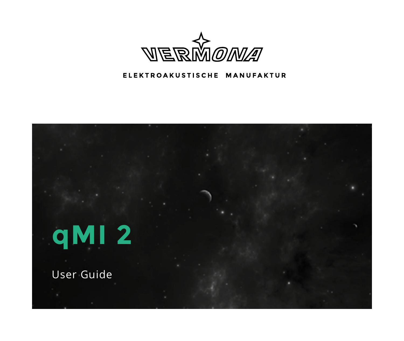

#### ELEKTROAKUSTISCHE MANUFAKTUR

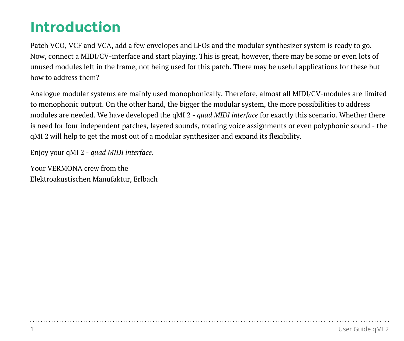# **Introduction**

Patch VCO, VCF and VCA, add a few envelopes and LFOs and the modular synthesizer system is ready to go. Now, connect a MIDI/CV-interface and start playing. This is great, however, there may be some or even lots of unused modules left in the frame, not being used for this patch. There may be useful applications for these but how to address them?

Analogue modular systems are mainly used monophonically. Therefore, almost all MIDI/CV-modules are limited to monophonic output. On the other hand, the bigger the modular system, the more possibilities to address modules are needed. We have developed the qMI 2 - *quad MIDI interface* for exactly this scenario. Whether there is need for four independent patches, layered sounds, rotating voice assignments or even polyphonic sound - the qMI 2 will help to get the most out of a modular synthesizer and expand its flexibility.

Enjoy your qMI 2 - *quad MIDI interface*.

Your VERMONA crew from the Elektroakustischen Manufaktur, Erlbach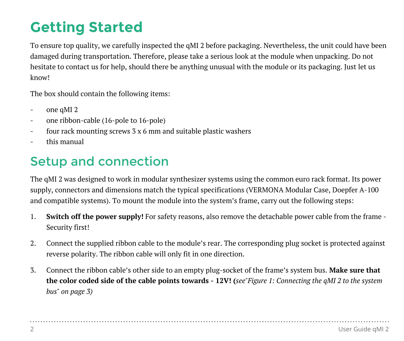# **Getting Started**

To ensure top quality, we carefully inspected the qMI 2 before packaging. Nevertheless, the unit could have been damaged during transportation. Therefore, please take a serious look at the module when unpacking. Do not hesitate to contact us for help, should there be anything unusual with the module or its packaging. Just let us know!

The box should contain the following items:

- one qMI 2
- one ribbon-cable (16-pole to 16-pole)
- four rack mounting screws 3 x 6 mm and suitable plastic washers
- this manual

## Setup and connection

The qMI 2 was designed to work in modular synthesizer systems using the common euro rack format. Its power supply, connectors and dimensions match the typical specifications (VERMONA Modular Case, Doepfer A-100 and compatible systems). To mount the module into the system's frame, carry out the following steps:

- 1. **Switch off the power supply!** For safety reasons, also remove the detachable power cable from the frame Security first!
- 2. Connect the supplied ribbon cable to the module's rear. The corresponding plug socket is protected against reverse polarity. The ribbon cable will only fit in one direction.
- 3. Connect the ribbon cable's other side to an empty plug-socket of the frame's system bus. **Make sure that the color coded side of the cable points towards - 12V! (***se[e"Figure 1: Connecting the qMI 2 to the system](#page-3-0)  [bus" on page 3](#page-3-0))*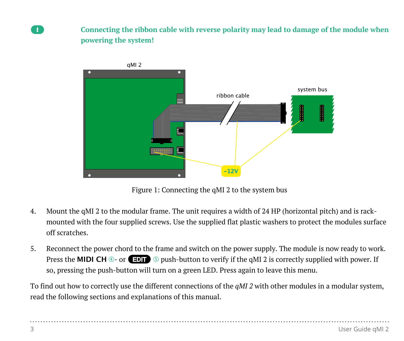A **Connecting the ribbon cable with reverse polarity may lead to damage of the module when powering the system!**



<span id="page-3-0"></span>Figure 1: Connecting the qMI 2 to the system bus

- 4. Mount the qMI 2 to the modular frame. The unit requires a width of 24 HP (horizontal pitch) and is rackmounted with the four supplied screws. Use the supplied flat plastic washers to protect the modules surface off scratches.
- 5. Reconnect the power chord to the frame and switch on the power supply. The module is now ready to work. Press the **MIDI CH**  $\circledcirc$ - or **EDIT**  $\circledcirc$  push-button to verify if the qMI 2 is correctly supplied with power. If so, pressing the push-button will turn on a green LED. Press again to leave this menu.

To find out how to correctly use the different connections of the *qMI 2* with other modules in a modular system, read the following sections and explanations of this manual.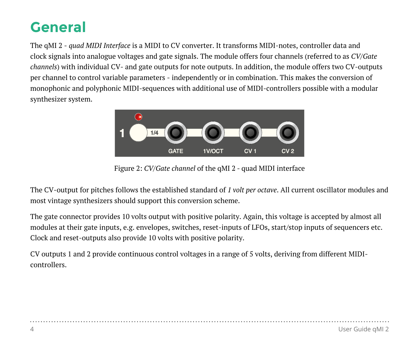# **General**

The qMI 2 - *quad MIDI Interface* is a MIDI to CV converter. It transforms MIDI-notes, controller data and clock signals into analogue voltages and gate signals. The module offers four channels (referred to as *CV/Gate channels*) with individual CV- and gate outputs for note outputs. In addition, the module offers two CV-outputs per channel to control variable parameters - independently or in combination. This makes the conversion of monophonic and polyphonic MIDI-sequences with additional use of MIDI-controllers possible with a modular synthesizer system.



Figure 2: *CV/Gate channel* of the qMI 2 - quad MIDI interface

The CV-output for pitches follows the established standard of *1 volt per octave*. All current oscillator modules and most vintage synthesizers should support this conversion scheme.

The gate connector provides 10 volts output with positive polarity. Again, this voltage is accepted by almost all modules at their gate inputs, e.g. envelopes, switches, reset-inputs of LFOs, start/stop inputs of sequencers etc. Clock and reset-outputs also provide 10 volts with positive polarity.

CV outputs 1 and 2 provide continuous control voltages in a range of 5 volts, deriving from different MIDIcontrollers.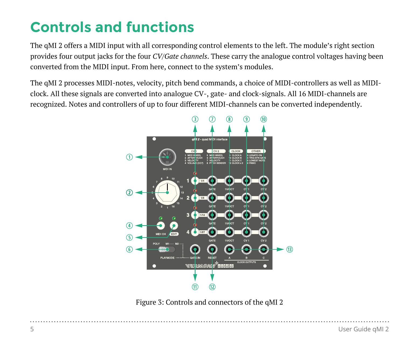# **Controls and functions**

The qMI 2 offers a MIDI input with all corresponding control elements to the left. The module's right section provides four output jacks for the four *CV/Gate channels*. These carry the analogue control voltages having been converted from the MIDI input. From here, connect to the system's modules.

The qMI 2 processes MIDI-notes, velocity, pitch bend commands, a choice of MIDI-controllers as well as MIDIclock. All these signals are converted into analogue CV-, gate- and clock-signals. All 16 MIDI-channels are recognized. Notes and controllers of up to four different MIDI-channels can be converted independently.



Figure 3: Controls and connectors of the qMI 2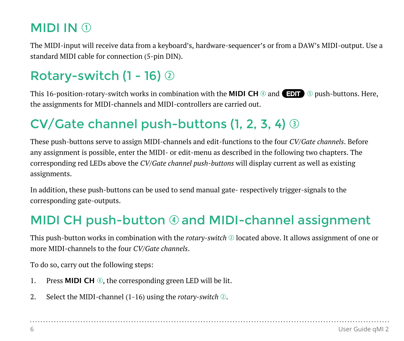## **MIDI IN 1**

The MIDI-input will receive data from a keyboard's, hardware-sequencer's or from a DAW's MIDI-output. Use a standard MIDI cable for connection (5-pin DIN).

## Rotary-switch  $(1 - 16)$   $\circledcirc$

This 16-position-rotary-switch works in combination with the **MIDI CH**  $\circledcirc$  and **EDIT**  $\circledcirc$  push-buttons. Here, the assignments for MIDI-channels and MIDI-controllers are carried out.

## $CV$ Gate channel push-buttons (1, 2, 3, 4)  $\circledcirc$

These push-buttons serve to assign MIDI-channels and edit-functions to the four *CV/Gate channels*. Before any assignment is possible, enter the MIDI- or edit-menu as described in the following two chapters. The corresponding red LEDs above the *CV/Gate channel push-buttons* will display current as well as existing assignments.

In addition, these push-buttons can be used to send manual gate- respectively trigger-signals to the corresponding gate-outputs.

## MIDI CH push-button  $\odot$  and MIDI-channel assignment

This push-button works in combination with the *rotary-switch* 2 located above. It allows assignment of one or more MIDI-channels to the four *CV/Gate channels*.

To do so, carry out the following steps:

- 1. Press **MIDI CH @**, the corresponding green LED will be lit.
- 2. Select the MIDI-channel (1-16) using the *rotary-switch* 2.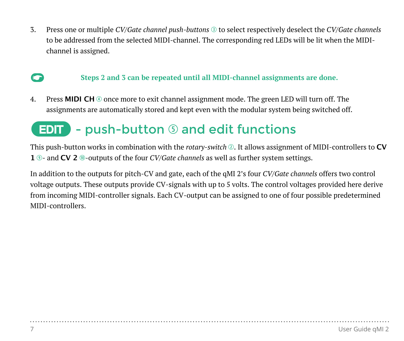3. Press one or multiple *CV/Gate channel push-buttons* e to select respectively deselect the *CV/Gate channels* to be addressed from the selected MIDI-channel. The corresponding red LEDs will be lit when the MIDIchannel is assigned.

### **C** Steps 2 and 3 can be repeated until all MIDI-channel assignments are done.

4. Press **MIDI CH**  $\circledcirc$  once more to exit channel assignment mode. The green LED will turn off. The assignments are automatically stored and kept even with the modular system being switched off.

## <span id="page-7-0"></span> $E$  - push-button  $\odot$  and edit functions

This push-button works in combination with the *rotary-switch* w. It allows assignment of MIDI-controllers to **CV 1**  $\circ$ - and **CV 2**  $\circ$ -outputs of the four *CV/Gate channels* as well as further system settings.

In addition to the outputs for pitch-CV and gate, each of the qMI 2's four *CV/Gate channels* offers two control voltage outputs. These outputs provide CV-signals with up to 5 volts. The control voltages provided here derive from incoming MIDI-controller signals. Each CV-output can be assigned to one of four possible predetermined MIDI-controllers.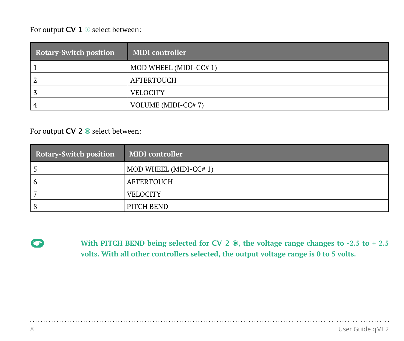For output **CV 1 9** select between:

| <b>Rotary-Switch position</b> | <b>MIDI</b> controller |
|-------------------------------|------------------------|
|                               | MOD WHEEL (MIDI-CC#1)  |
|                               | AFTERTOUCH             |
|                               | <b>VELOCITY</b>        |
| 4                             | VOLUME (MIDI-CC#7)     |

For output **CV 2** ® select between:

| <b>Rotary-Switch position</b> | <b>MIDI</b> controller |
|-------------------------------|------------------------|
|                               | MOD WHEEL (MIDI-CC#1)  |
| b                             | AFTERTOUCH             |
|                               | <b>VELOCITY</b>        |
|                               | PITCH BEND             |

**G** With PITCH BEND being selected for **CV** 2 **®**, the voltage range changes to -2.5 to + 2.5 **volts. With all other controllers selected, the output voltage range is 0 to 5 volts.** 

. . . . . . . . . . . . . . . . . .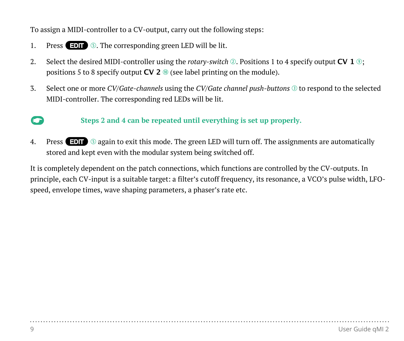To assign a MIDI-controller to a CV-output, carry out the following steps:

- 1. Press  $\Box$  **5.** The corresponding green LED will be lit.
- 2. Select the desired MIDI-controller using the *rotary-switch* ②. Positions 1 to 4 specify output **CV 1** ③; positions 5 to 8 specify output  $CV$  2  $\odot$  (see label printing on the module).
- 3. Select one or more *CV/Gate-channels* using the *CV/Gate channel push-buttons*  $\circledcirc$  to respond to the selected MIDI-controller. The corresponding red LEDs will be lit.

#### **C** Steps 2 and 4 can be repeated until everything is set up properly.

4. Press  $E\Box$   $\odot$  again to exit this mode. The green LED will turn off. The assignments are automatically stored and kept even with the modular system being switched off.

It is completely dependent on the patch connections, which functions are controlled by the CV-outputs. In principle, each CV-input is a suitable target: a filter's cutoff frequency, its resonance, a VCO's pulse width, LFOspeed, envelope times, wave shaping parameters, a phaser's rate etc.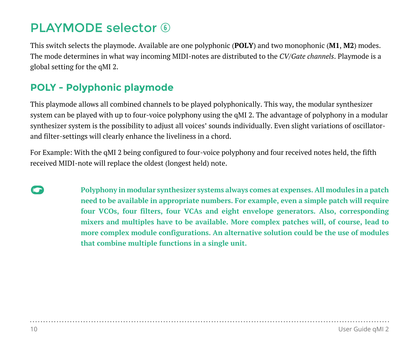## PLAYMODE selector  $\circledcirc$

This switch selects the playmode. Available are one polyphonic (**POLY**) and two monophonic (**M1**, **M2**) modes. The mode determines in what way incoming MIDI-notes are distributed to the *CV/Gate channels*. Playmode is a global setting for the qMI 2.

### **POLY - Polyphonic playmode**

This playmode allows all combined channels to be played polyphonically. This way, the modular synthesizer system can be played with up to four-voice polyphony using the qMI 2. The advantage of polyphony in a modular synthesizer system is the possibility to adjust all voices' sounds individually. Even slight variations of oscillatorand filter-settings will clearly enhance the liveliness in a chord.

For Example: With the qMI 2 being configured to four-voice polyphony and four received notes held, the fifth received MIDI-note will replace the oldest (longest held) note.

**C** Polyphony in modular synthesizer systems always comes at expenses. All modules in a patch **need to be available in appropriate numbers. For example, even a simple patch will require four VCOs, four filters, four VCAs and eight envelope generators. Also, corresponding mixers and multiples have to be available. More complex patches will, of course, lead to more complex module configurations. An alternative solution could be the use of modules that combine multiple functions in a single unit.**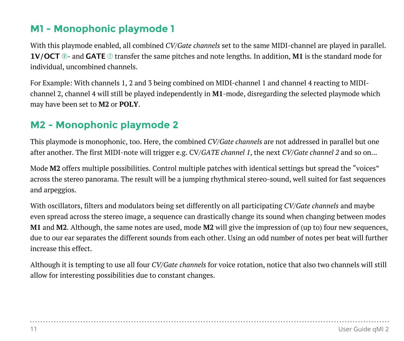### **M1 - Monophonic playmode 1**

With this playmode enabled, all combined *CV/Gate channels* set to the same MIDI-channel are played in parallel. **1V/OCT**  $\circledcirc$ - and **GATE**  $\circledcirc$  transfer the same pitches and note lengths. In addition, **M1** is the standard mode for individual, uncombined channels.

For Example: With channels 1, 2 and 3 being combined on MIDI-channel 1 and channel 4 reacting to MIDIchannel 2, channel 4 will still be played independently in **M1**-mode, disregarding the selected playmode which may have been set to **M2** or **POLY**.

### **M2 - Monophonic playmode 2**

This playmode is monophonic, too. Here, the combined *CV/Gate channels* are not addressed in parallel but one after another. The first MIDI-note will trigger e.g. CV/*GATE channel 1*, the next *CV/Gate channel 2* and so on...

Mode **M2** offers multiple possibilities. Control multiple patches with identical settings but spread the "voices" across the stereo panorama. The result will be a jumping rhythmical stereo-sound, well suited for fast sequences and arpeggios.

With oscillators, filters and modulators being set differently on all participating *CV/Gate channels* and maybe even spread across the stereo image, a sequence can drastically change its sound when changing between modes **M1** and **M2**. Although, the same notes are used, mode **M2** will give the impression of (up to) four new sequences, due to our ear separates the different sounds from each other. Using an odd number of notes per beat will further increase this effect.

Although it is tempting to use all four *CV/Gate channels* for voice rotation, notice that also two channels will still allow for interesting possibilities due to constant changes.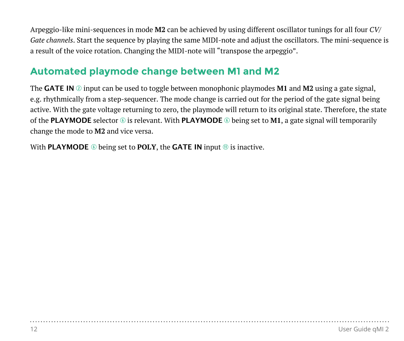Arpeggio-like mini-sequences in mode **M2** can be achieved by using different oscillator tunings for all four *CV/ Gate channels*. Start the sequence by playing the same MIDI-note and adjust the oscillators. The mini-sequence is a result of the voice rotation. Changing the MIDI-note will "transpose the arpeggio".

### <span id="page-12-0"></span>**Automated playmode change between M1 and M2**

The **GATE IN**  $\oslash$  input can be used to toggle between monophonic playmodes **M1** and **M2** using a gate signal, e.g. rhythmically from a step-sequencer. The mode change is carried out for the period of the gate signal being active. With the gate voltage returning to zero, the playmode will return to its original state. Therefore, the state of the **PLAYMODE** selector  $\circledcirc$  is relevant. With **PLAYMODE**  $\circledcirc$  being set to **M1**, a gate signal will temporarily change the mode to **M2** and vice versa.

With **PLAYMODE**  $\circledcirc$  being set to **POLY**, the **GATE** IN input  $\circledcirc$  is inactive.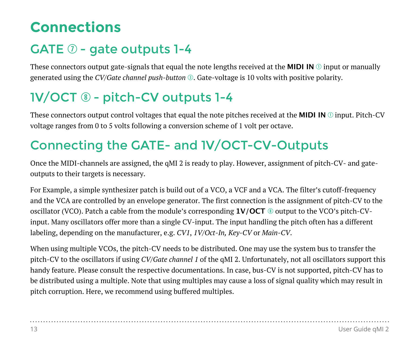## **Connections**

## GATE  $\oslash$  - gate outputs 1-4

These connectors output gate-signals that equal the note lengths received at the **MIDI IN**  $\odot$  input or manually generated using the *CV/Gate channel push-button e*. Gate-voltage is 10 volts with positive polarity.

## 1V/OCT  $\circledast$  - pitch-CV outputs 1-4

These connectors output control voltages that equal the note pitches received at the **MIDI IN**  $\odot$  input. Pitch-CV voltage ranges from 0 to 5 volts following a conversion scheme of 1 volt per octave.

## Connecting the GATE- and 1V/OCT-CV-Outputs

Once the MIDI-channels are assigned, the qMI 2 is ready to play. However, assignment of pitch-CV- and gateoutputs to their targets is necessary.

For Example, a simple synthesizer patch is build out of a VCO, a VCF and a VCA. The filter's cutoff-frequency and the VCA are controlled by an envelope generator. The first connection is the assignment of pitch-CV to the oscillator (VCO). Patch a cable from the module's corresponding **1V/OCT** i output to the VCO's pitch-CVinput. Many oscillators offer more than a single CV-input. The input handling the pitch often has a different labeling, depending on the manufacturer, e.g. *CV1*, *1V/Oct-In, Key-CV* or *Main-CV*.

When using multiple VCOs, the pitch-CV needs to be distributed. One may use the system bus to transfer the pitch-CV to the oscillators if using *CV/Gate channel 1* of the qMI 2. Unfortunately, not all oscillators support this handy feature. Please consult the respective documentations. In case, bus-CV is not supported, pitch-CV has to be distributed using a multiple. Note that using multiples may cause a loss of signal quality which may result in pitch corruption. Here, we recommend using buffered multiples.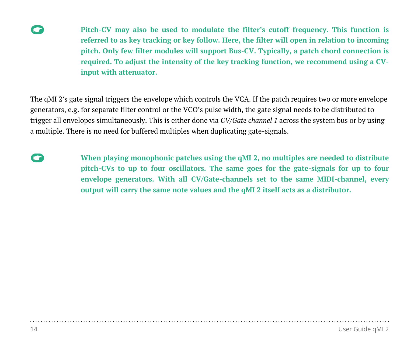

**Pitch-CV** may also be used to modulate the filter's cutoff frequency. This function is **referred to as key tracking or key follow. Here, the filter will open in relation to incoming pitch. Only few filter modules will support Bus-CV. Typically, a patch chord connection is required. To adjust the intensity of the key tracking function, we recommend using a CVinput with attenuator.**

The qMI 2's gate signal triggers the envelope which controls the VCA. If the patch requires two or more envelope generators, e.g. for separate filter control or the VCO's pulse width, the gate signal needs to be distributed to trigger all envelopes simultaneously. This is either done via *CV/Gate channel 1* across the system bus or by using a multiple. There is no need for buffered multiples when duplicating gate-signals.

**C** When playing monophonic patches using the qMI 2, no multiples are needed to distribute **pitch-CVs to up to four oscillators. The same goes for the gate-signals for up to four envelope generators. With all CV/Gate-channels set to the same MIDI-channel, every output will carry the same note values and the qMI 2 itself acts as a distributor.**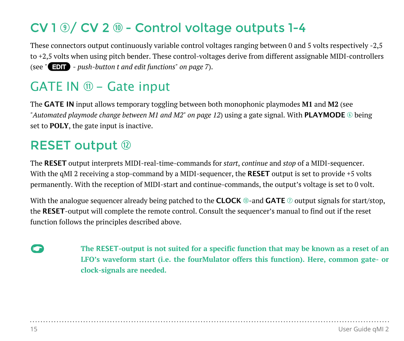## $CV 1  $\circled{0}$  / CV 2  $\circled{0}$  - Control voltage outputs 1-4$

These connectors output continuously variable control voltages ranging between 0 and 5 volts respectively -2,5 to +2,5 volts when using pitch bender. These control-voltages derive from different assignable MIDI-controllers (see *"*E *[- push-button t and edit functions" on page 7](#page-7-0)*).

## GATE IN  $\mathbb{D}$  - Gate input

The **GATE IN** input allows temporary toggling between both monophonic playmodes **M1** and **M2** (see *["Automated playmode change between M1 and M2" on page 12](#page-12-0))* using a gate signal. With **PLAYMODE** © being set to **POLY**, the gate input is inactive.

### **RESET output 12**

The **RESET** output interprets MIDI-real-time-commands for *start*, *continue* and *stop* of a MIDI-sequencer. With the qMI 2 receiving a stop-command by a MIDI-sequencer, the **RESET** output is set to provide +5 volts permanently. With the reception of MIDI-start and continue-commands, the output's voltage is set to 0 volt.

With the analogue sequencer already being patched to the **CLOCK**  $\circledcirc$ -and **GATE**  $\circledcirc$  output signals for start/stop, the **RESET**-output will complete the remote control. Consult the sequencer's manual to find out if the reset function follows the principles described above.

**C** The RESET-output is not suited for a specific function that may be known as a reset of an **LFO's waveform start (i.e. the fourMulator offers this function). Here, common gate- or clock-signals are needed.**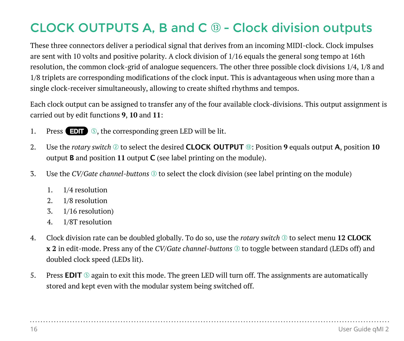## CLOCK OUTPUTS A, B and C  $\circledcirc$  - Clock division outputs

These three connectors deliver a periodical signal that derives from an incoming MIDI-clock. Clock impulses are sent with 10 volts and positive polarity. A clock division of 1/16 equals the general song tempo at 16th resolution, the common clock-grid of analogue sequencers. The other three possible clock divisions 1/4, 1/8 and 1/8 triplets are corresponding modifications of the clock input. This is advantageous when using more than a single clock-receiver simultaneously, allowing to create shifted rhythms and tempos.

Each clock output can be assigned to transfer any of the four available clock-divisions. This output assignment is carried out by edit functions **9**, **10** and **11**:

- 1. Press  $\Box$   $\Box$   $\Diamond$ , the corresponding green LED will be lit.
- 2. Use the *rotary switch*  $\circledcirc$  to select the desired **CLOCK OUTPUT**  $\circledcirc$ : Position 9 equals output **A**, position 10 output **B** and position **11** output **C** (see label printing on the module).
- 3. Use the *CV/Gate channel-buttons* **the select the clock division (see label printing on the module)** 
	- 1. 1/4 resolution
	- 2. 1/8 resolution
	- 3. 1/16 resolution)
	- 4. 1/8T resolution
- 4. Clock division rate can be doubled globally. To do so, use the *rotary switch* **there** to select menu **12 CLOCK x 2** in edit-mode. Press any of the *CV/Gate channel-buttons*  $\odot$  to toggle between standard (LEDs off) and doubled clock speed (LEDs lit).
- 5. Press **EDIT O** again to exit this mode. The green LED will turn off. The assignments are automatically stored and kept even with the modular system being switched off.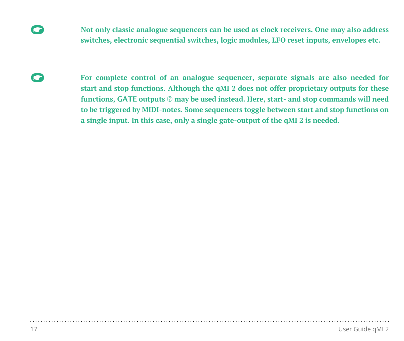- **C** Not only classic analogue sequencers can be used as clock receivers. One may also address **switches, electronic sequential switches, logic modules, LFO reset inputs, envelopes etc.**
- **For complete control of an analogue sequencer, separate signals are also needed for start and stop functions. Although the qMI 2 does not offer proprietary outputs for these**  functions, GATE outputs  $\odot$  may be used instead. Here, start- and stop commands will need **to be triggered by MIDI-notes. Some sequencers toggle between start and stop functions on a single input. In this case, only a single gate-output of the qMI 2 is needed.**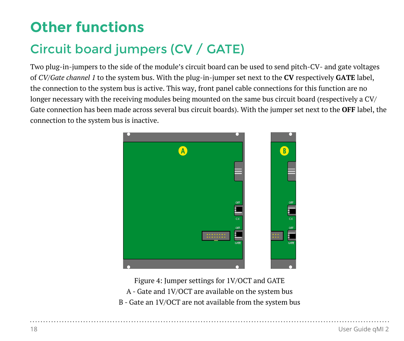# **Other functions**

## Circuit board jumpers (CV / GATE)

Two plug-in-jumpers to the side of the module's circuit board can be used to send pitch-CV- and gate voltages of *CV/Gate channel 1* to the system bus. With the plug-in-jumper set next to the **CV** respectively **GATE** label, the connection to the system bus is active. This way, front panel cable connections for this function are no longer necessary with the receiving modules being mounted on the same bus circuit board (respectively a CV/ Gate connection has been made across several bus circuit boards). With the jumper set next to the **OFF** label, the connection to the system bus is inactive.



Figure 4: Jumper settings for 1V/OCT and GATE

A - Gate and 1V/OCT are available on the system bus

B - Gate an 1V/OCT are not available from the system bus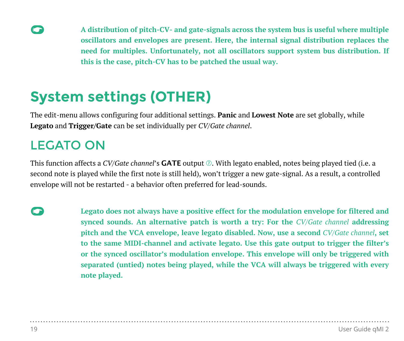**Example 3** A distribution of pitch-CV- and gate-signals across the system bus is useful where multiple **oscillators and envelopes are present. Here, the internal signal distribution replaces the need for multiples. Unfortunately, not all oscillators support system bus distribution. If this is the case, pitch-CV has to be patched the usual way.**

## **System settings (OTHER)**

The edit-menu allows configuring four additional settings. **Panic** and **Lowest Note** are set globally, while **Legato** and **Trigger/Gate** can be set individually per *CV/Gate channel*.

## LEGATO ON

This function affects a *CV/Gate channel*'s **GATE** output  $\oslash$ . With legato enabled, notes being played tied (i.e. a second note is played while the first note is still held), won't trigger a new gate-signal. As a result, a controlled envelope will not be restarted - a behavior often preferred for lead-sounds.

**EXECUTE:** Legato does not always have a positive effect for the modulation envelope for filtered and **synced sounds. An alternative patch is worth a try: For the** *CV/Gate channel* **addressing pitch and the VCA envelope, leave legato disabled. Now, use a second** *CV/Gate channel***, set to the same MIDI-channel and activate legato. Use this gate output to trigger the filter's or the synced oscillator's modulation envelope. This envelope will only be triggered with separated (untied) notes being played, while the VCA will always be triggered with every note played.**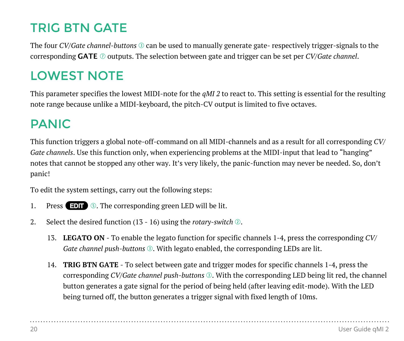## TRIG BTN GATE

The four *CV/Gate channel-buttons*  $\odot$  can be used to manually generate gate- respectively trigger-signals to the corresponding **GATE**  $\oslash$  outputs. The selection between gate and trigger can be set per *CV/Gate channel*.

## LOWEST NOTE

This parameter specifies the lowest MIDI-note for the *qMI 2* to react to. This setting is essential for the resulting note range because unlike a MIDI-keyboard, the pitch-CV output is limited to five octaves.

## PANIC

This function triggers a global note-off-command on all MIDI-channels and as a result for all corresponding *CV/ Gate channels*. Use this function only, when experiencing problems at the MIDI-input that lead to "hanging" notes that cannot be stopped any other way. It's very likely, the panic-function may never be needed. So, don't panic!

To edit the system settings, carry out the following steps:

- 1. Press  $\Box$  **5.** The corresponding green LED will be lit.
- 2. Select the desired function (13 16) using the *rotary-switch*  $\circled{2}$ .
	- 13. **LEGATO ON** To enable the legato function for specific channels 1-4, press the corresponding *CV/ Gate channel push-buttons* **<sup>2</sup>**. With legato enabled, the corresponding LEDs are lit.
	- 14. **TRIG BTN GATE** To select between gate and trigger modes for specific channels 1-4, press the corresponding *CV/Gate channel push-buttons*  $\circledast$ . With the corresponding LED being lit red, the channel button generates a gate signal for the period of being held (after leaving edit-mode). With the LED being turned off, the button generates a trigger signal with fixed length of 10ms.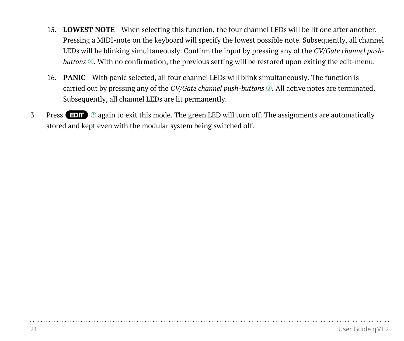- 15. **LOWEST NOTE** When selecting this function, the four channel LEDs will be lit one after another. Pressing a MIDI-note on the keyboard will specify the lowest possible note. Subsequently, all channel LEDs will be blinking simultaneously. Confirm the input by pressing any of the *CV/Gate channel pushbuttons* **©**. With no confirmation, the previous setting will be restored upon exiting the edit-menu.
- 16. **PANIC** With panic selected, all four channel LEDs will blink simultaneously. The function is carried out by pressing any of the *CV/Gate channel push-buttons*  $\odot$ . All active notes are terminated. Subsequently, all channel LEDs are lit permanently.
- 3. Press  $\overline{F}$   $\overline{F}$   $\overline{F}$  again to exit this mode. The green LED will turn off. The assignments are automatically stored and kept even with the modular system being switched off.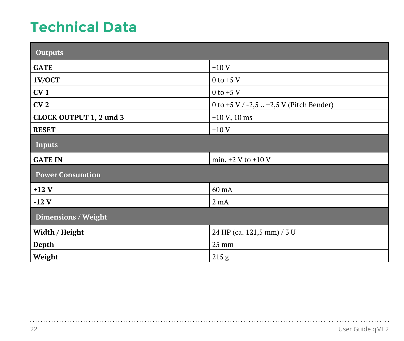# **Technical Data**

| <b>Outputs</b>          |                                         |  |  |
|-------------------------|-----------------------------------------|--|--|
| <b>GATE</b>             | $+10V$                                  |  |  |
| 1V/OCT                  | $0$ to +5 V                             |  |  |
| CV <sub>1</sub>         | $0$ to +5 V                             |  |  |
| CV <sub>2</sub>         | 0 to +5 V / -2,5  +2,5 V (Pitch Bender) |  |  |
| CLOCK OUTPUT 1, 2 und 3 | $+10 V$ , 10 ms                         |  |  |
| <b>RESET</b>            | $+10V$                                  |  |  |
| <b>Inputs</b>           |                                         |  |  |
| <b>GATE IN</b>          | min. $+2$ V to $+10$ V                  |  |  |
| <b>Power Consumtion</b> |                                         |  |  |
| $+12V$                  | 60 mA                                   |  |  |
| $-12$ V                 | $2 \text{ mA}$                          |  |  |
| Dimensions / Weight     |                                         |  |  |
| Width / Height          | 24 HP (ca. 121,5 mm) / 3 U              |  |  |
| Depth                   | 25 mm                                   |  |  |
| Weight                  | 215 g                                   |  |  |

. . . .

. . . . . . . . . . .